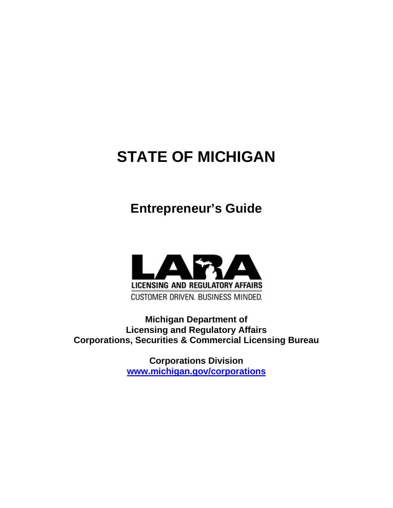# **STATE OF MICHIGAN**

# **Entrepreneur's Guide**



**Michigan Department of Licensing and Regulatory Affairs Corporations, Securities & Commercial Licensing Bureau**

> **Corporations Division [www.michigan.gov/corporations](http://www.michigan.gov/corporations)**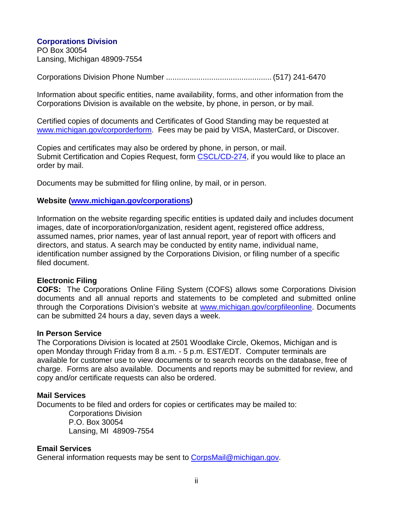#### **Corporations Division** PO Box 30054 Lansing, Michigan 48909-7554

Corporations Division Phone Number ................................................. (517) 241-6470

Information about specific entities, name availability, forms, and other information from the Corporations Division is available on the website, by phone, in person, or by mail.

Certified copies of documents and Certificates of Good Standing may be requested at [www.michigan.gov/corporderform.](http://www.michigan.gov/corporderform) Fees may be paid by VISA, MasterCard, or Discover.

Copies and certificates may also be ordered by phone, in person, or mail. Submit Certification and Copies Request, form [CSCL/CD-274,](http://www.michigan.gov/documents/lara/274_08-15_528078_7.pdf) if you would like to place an order by mail.

Documents may be submitted for filing online, by mail, or in person.

#### **Website [\(www.michigan.gov/corporations\)](http://www.michigan.gov/corporations)**

Information on the website regarding specific entities is updated daily and includes document images, date of incorporation/organization, resident agent, registered office address, assumed names, prior names, year of last annual report, year of report with officers and directors, and status. A search may be conducted by entity name, individual name, identification number assigned by the Corporations Division, or filing number of a specific filed document.

#### **Electronic Filing**

**COFS:** The Corporations Online Filing System (COFS) allows some Corporations Division documents and all annual reports and statements to be completed and submitted online through the Corporations Division's website at [www.michigan.gov/corpfileonline.](http://www.michigan.gov/corpfileonline) Documents can be submitted 24 hours a day, seven days a week.

#### **In Person Service**

The Corporations Division is located at 2501 Woodlake Circle, Okemos, Michigan and is open Monday through Friday from 8 a.m. - 5 p.m. EST/EDT. Computer terminals are available for customer use to view documents or to search records on the database, free of charge. Forms are also available. Documents and reports may be submitted for review, and copy and/or certificate requests can also be ordered.

#### **Mail Services**

Documents to be filed and orders for copies or certificates may be mailed to:

Corporations Division P.O. Box 30054 Lansing, MI 48909-7554

#### **Email Services**

General information requests may be sent to Corps Mail@michigan.gov.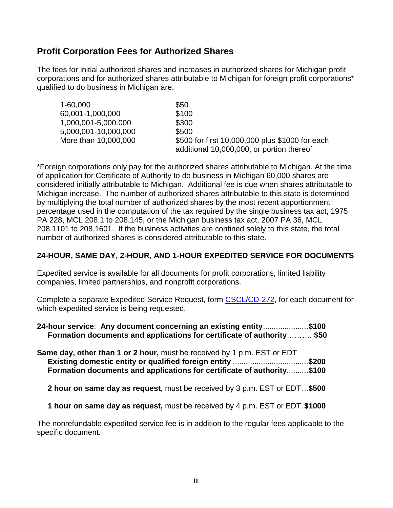# **Profit Corporation Fees for Authorized Shares**

The fees for initial authorized shares and increases in authorized shares for Michigan profit corporations and for authorized shares attributable to Michigan for foreign profit corporations\* qualified to do business in Michigan are:

| 1-60,000             | \$50                                                                                         |
|----------------------|----------------------------------------------------------------------------------------------|
| 60,001-1,000,000     | \$100                                                                                        |
| 1,000,001-5,000.000  | \$300                                                                                        |
| 5,000,001-10,000,000 | \$500                                                                                        |
| More than 10,000,000 | \$500 for first 10,000,000 plus \$1000 for each<br>additional 10,000,000, or portion thereof |

\*Foreign corporations only pay for the authorized shares attributable to Michigan. At the time of application for Certificate of Authority to do business in Michigan 60,000 shares are considered initially attributable to Michigan. Additional fee is due when shares attributable to Michigan increase. The number of authorized shares attributable to this state is determined by multiplying the total number of authorized shares by the most recent apportionment percentage used in the computation of the tax required by the single business tax act, 1975 PA 228, MCL 208.1 to 208.145, or the Michigan business tax act, 2007 PA 36, MCL 208.1101 to 208.1601. If the business activities are confined solely to this state, the total number of authorized shares is considered attributable to this state.

### **24-HOUR, SAME DAY, 2-HOUR, AND 1-HOUR EXPEDITED SERVICE FOR DOCUMENTS**

Expedited service is available for all documents for profit corporations, limited liability companies, limited partnerships, and nonprofit corporations.

Complete a separate Expedited Service Request, form [CSCL/CD-272,](http://www.michigan.gov/documents/lara/272_08-15_527662_7.pdf) for each document for which expedited service is being requested.

| 24-hour service: Any document concerning an existing entity\$100       |  |
|------------------------------------------------------------------------|--|
| Formation documents and applications for certificate of authority \$50 |  |

| <b>Same day, other than 1 or 2 hour, must be received by 1 p.m. EST or EDT</b> |  |
|--------------------------------------------------------------------------------|--|
| Existing domestic entity or qualified foreign entity \$200                     |  |
| Formation documents and applications for certificate of authority\$100         |  |

 **2 hour on same day as request**, must be received by 3 p.m. EST or EDT...**\$500**

 **1 hour on same day as request,** must be received by 4 p.m. EST or EDT.**\$1000**

The nonrefundable expedited service fee is in addition to the regular fees applicable to the specific document.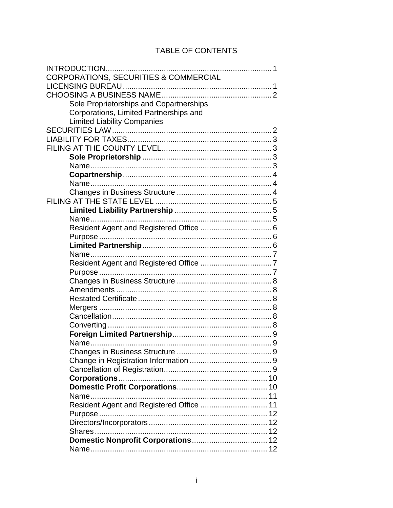# TABLE OF CONTENTS

| CORPORATIONS, SECURITIES & COMMERCIAL    |
|------------------------------------------|
|                                          |
|                                          |
| Sole Proprietorships and Copartnerships  |
| Corporations, Limited Partnerships and   |
| <b>Limited Liability Companies</b>       |
|                                          |
|                                          |
|                                          |
|                                          |
|                                          |
|                                          |
|                                          |
|                                          |
|                                          |
|                                          |
|                                          |
|                                          |
|                                          |
|                                          |
|                                          |
|                                          |
|                                          |
|                                          |
|                                          |
|                                          |
|                                          |
|                                          |
|                                          |
|                                          |
|                                          |
|                                          |
|                                          |
|                                          |
|                                          |
|                                          |
|                                          |
| Resident Agent and Registered Office  11 |
|                                          |
|                                          |
|                                          |
|                                          |
|                                          |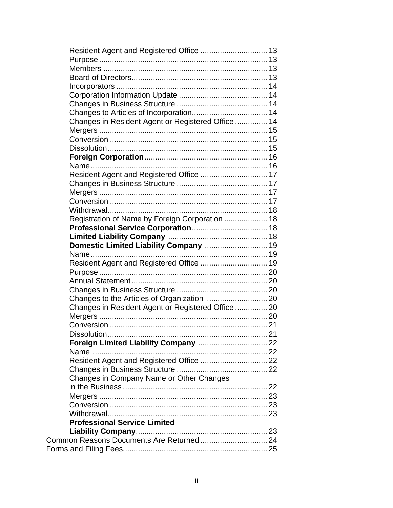| Resident Agent and Registered Office  13           |  |
|----------------------------------------------------|--|
|                                                    |  |
|                                                    |  |
|                                                    |  |
|                                                    |  |
|                                                    |  |
|                                                    |  |
|                                                    |  |
| Changes in Resident Agent or Registered Office  14 |  |
|                                                    |  |
|                                                    |  |
|                                                    |  |
|                                                    |  |
|                                                    |  |
| Resident Agent and Registered Office  17           |  |
|                                                    |  |
|                                                    |  |
|                                                    |  |
|                                                    |  |
| Registration of Name by Foreign Corporation  18    |  |
|                                                    |  |
|                                                    |  |
| Domestic Limited Liability Company  19             |  |
|                                                    |  |
| Resident Agent and Registered Office  19           |  |
|                                                    |  |
|                                                    |  |
|                                                    |  |
|                                                    |  |
|                                                    |  |
| Changes in Resident Agent or Registered Office  20 |  |
|                                                    |  |
|                                                    |  |
|                                                    |  |
| Foreign Limited Liability Company  22              |  |
|                                                    |  |
| Resident Agent and Registered Office  22           |  |
|                                                    |  |
| Changes in Company Name or Other Changes           |  |
|                                                    |  |
|                                                    |  |
|                                                    |  |
|                                                    |  |
| <b>Professional Service Limited</b>                |  |
|                                                    |  |
|                                                    |  |
|                                                    |  |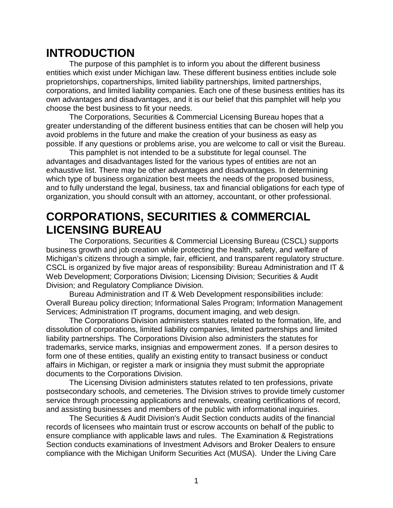# **INTRODUCTION**

The purpose of this pamphlet is to inform you about the different business entities which exist under Michigan law. These different business entities include sole proprietorships, copartnerships, limited liability partnerships, limited partnerships, corporations, and limited liability companies. Each one of these business entities has its own advantages and disadvantages, and it is our belief that this pamphlet will help you choose the best business to fit your needs.

The Corporations, Securities & Commercial Licensing Bureau hopes that a greater understanding of the different business entities that can be chosen will help you avoid problems in the future and make the creation of your business as easy as possible. If any questions or problems arise, you are welcome to call or visit the Bureau.

This pamphlet is not intended to be a substitute for legal counsel. The advantages and disadvantages listed for the various types of entities are not an exhaustive list. There may be other advantages and disadvantages. In determining which type of business organization best meets the needs of the proposed business, and to fully understand the legal, business, tax and financial obligations for each type of organization, you should consult with an attorney, accountant, or other professional.

# **CORPORATIONS, SECURITIES & COMMERCIAL LICENSING BUREAU**

The Corporations, Securities & Commercial Licensing Bureau (CSCL) supports business growth and job creation while protecting the health, safety, and welfare of Michigan's citizens through a simple, fair, efficient, and transparent regulatory structure. CSCL is organized by five major areas of responsibility: Bureau Administration and IT & Web Development; Corporations Division; Licensing Division; Securities & Audit Division; and Regulatory Compliance Division.

Bureau Administration and IT & Web Development responsibilities include: Overall Bureau policy direction; Informational Sales Program; Information Management Services; Administration IT programs, document imaging, and web design.

The Corporations Division administers statutes related to the formation, life, and dissolution of corporations, limited liability companies, limited partnerships and limited liability partnerships. The Corporations Division also administers the statutes for trademarks, service marks, insignias and empowerment zones. If a person desires to form one of these entities, qualify an existing entity to transact business or conduct affairs in Michigan, or register a mark or insignia they must submit the appropriate documents to the Corporations Division.

The Licensing Division administers statutes related to ten professions, private postsecondary schools, and cemeteries. The Division strives to provide timely customer service through processing applications and renewals, creating certifications of record, and assisting businesses and members of the public with informational inquiries.

The Securities & Audit Division's Audit Section conducts audits of the financial records of licensees who maintain trust or escrow accounts on behalf of the public to ensure compliance with applicable laws and rules. The Examination & Registrations Section conducts examinations of Investment Advisors and Broker Dealers to ensure compliance with the Michigan Uniform Securities Act (MUSA). Under the Living Care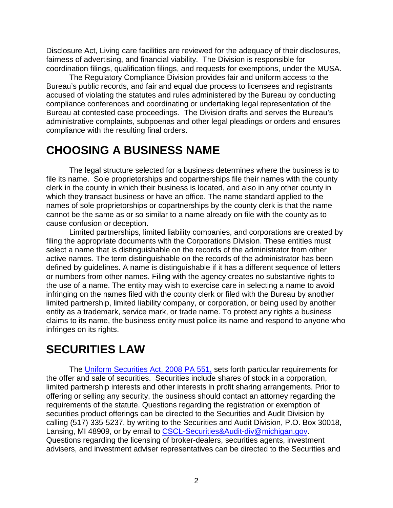Disclosure Act, Living care facilities are reviewed for the adequacy of their disclosures, fairness of advertising, and financial viability. The Division is responsible for coordination filings, qualification filings, and requests for exemptions, under the MUSA.

The Regulatory Compliance Division provides fair and uniform access to the Bureau's public records, and fair and equal due process to licensees and registrants accused of violating the statutes and rules administered by the Bureau by conducting compliance conferences and coordinating or undertaking legal representation of the Bureau at contested case proceedings. The Division drafts and serves the Bureau's administrative complaints, subpoenas and other legal pleadings or orders and ensures compliance with the resulting final orders.

# **CHOOSING A BUSINESS NAME**

The legal structure selected for a business determines where the business is to file its name. Sole proprietorships and copartnerships file their names with the county clerk in the county in which their business is located, and also in any other county in which they transact business or have an office. The name standard applied to the names of sole proprietorships or copartnerships by the county clerk is that the name cannot be the same as or so similar to a name already on file with the county as to cause confusion or deception.

Limited partnerships, limited liability companies, and corporations are created by filing the appropriate documents with the Corporations Division. These entities must select a name that is distinguishable on the records of the administrator from other active names. The term distinguishable on the records of the administrator has been defined by guidelines. A name is distinguishable if it has a different sequence of letters or numbers from other names. Filing with the agency creates no substantive rights to the use of a name. The entity may wish to exercise care in selecting a name to avoid infringing on the names filed with the county clerk or filed with the Bureau by another limited partnership, limited liability company, or corporation, or being used by another entity as a trademark, service mark, or trade name. To protect any rights a business claims to its name, the business entity must police its name and respond to anyone who infringes on its rights.

# **SECURITIES LAW**

The [Uniform Securities Act, 2008 PA 551,](http://www.legislature.mi.gov/(S(0dulrcbc0jv5d2nd1qsnvyi0))/mileg.aspx?page=GetObject&objectname=mcl-Act-551-of-2008) sets forth particular requirements for the offer and sale of securities. Securities include shares of stock in a corporation, limited partnership interests and other interests in profit sharing arrangements. Prior to offering or selling any security, the business should contact an attorney regarding the requirements of the statute. Questions regarding the registration or exemption of securities product offerings can be directed to the Securities and Audit Division by calling (517) 335-5237, by writing to the Securities and Audit Division, P.O. Box 30018, Lansing, MI 48909, or by email to [CSCL-Securities&Audit-div@michigan.gov.](mailto:CSCL-Securities&Audit-div@michigan.gov) Questions regarding the licensing of broker-dealers, securities agents, investment advisers, and investment adviser representatives can be directed to the Securities and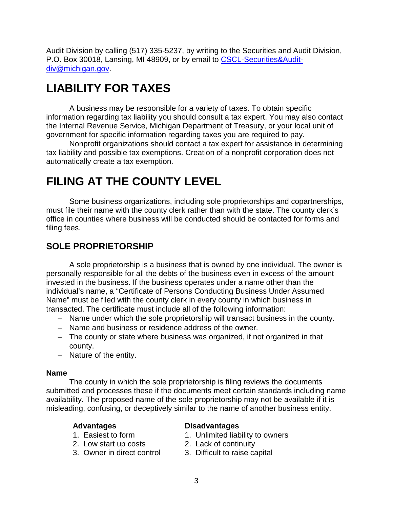Audit Division by calling (517) 335-5237, by writing to the Securities and Audit Division, P.O. Box 30018, Lansing, MI 48909, or by email to [CSCL-Securities&Audit](mailto:CSCL-Securities&Audit-div@michigan.gov)[div@michigan.gov.](mailto:CSCL-Securities&Audit-div@michigan.gov)

# **LIABILITY FOR TAXES**

A business may be responsible for a variety of taxes. To obtain specific information regarding tax liability you should consult a tax expert. You may also contact the Internal Revenue Service, Michigan Department of Treasury, or your local unit of government for specific information regarding taxes you are required to pay.

Nonprofit organizations should contact a tax expert for assistance in determining tax liability and possible tax exemptions. Creation of a nonprofit corporation does not automatically create a tax exemption.

# **FILING AT THE COUNTY LEVEL**

Some business organizations, including sole proprietorships and copartnerships, must file their name with the county clerk rather than with the state. The county clerk's office in counties where business will be conducted should be contacted for forms and filing fees.

# **SOLE PROPRIETORSHIP**

A sole proprietorship is a business that is owned by one individual. The owner is personally responsible for all the debts of the business even in excess of the amount invested in the business. If the business operates under a name other than the individual's name, a "Certificate of Persons Conducting Business Under Assumed Name" must be filed with the county clerk in every county in which business in transacted. The certificate must include all of the following information:

- − Name under which the sole proprietorship will transact business in the county.
- − Name and business or residence address of the owner.
- − The county or state where business was organized, if not organized in that county.
- − Nature of the entity.

#### **Name**

The county in which the sole proprietorship is filing reviews the documents submitted and processes these if the documents meet certain standards including name availability. The proposed name of the sole proprietorship may not be available if it is misleading, confusing, or deceptively similar to the name of another business entity.

- 
- 2. Low start up costs 2. Lack of continuity
- 3. Owner in direct control 3. Difficult to raise capital

#### **Advantages Disadvantages**

- 1. Easiest to form 1. Unlimited liability to owners
	-
	-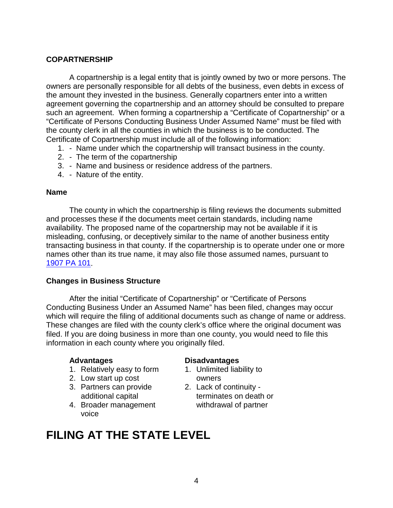### **COPARTNERSHIP**

A copartnership is a legal entity that is jointly owned by two or more persons. The owners are personally responsible for all debts of the business, even debts in excess of the amount they invested in the business. Generally copartners enter into a written agreement governing the copartnership and an attorney should be consulted to prepare such an agreement. When forming a copartnership a "Certificate of Copartnership" or a "Certificate of Persons Conducting Business Under Assumed Name" must be filed with the county clerk in all the counties in which the business is to be conducted. The Certificate of Copartnership must include all of the following information:

- 1. Name under which the copartnership will transact business in the county.
- 2. The term of the copartnership
- 3. Name and business or residence address of the partners.
- 4. Nature of the entity.

#### **Name**

The county in which the copartnership is filing reviews the documents submitted and processes these if the documents meet certain standards, including name availability. The proposed name of the copartnership may not be available if it is misleading, confusing, or deceptively similar to the name of another business entity transacting business in that county. If the copartnership is to operate under one or more names other than its true name, it may also file those assumed names, pursuant to [1907 PA 101.](http://www.michiganlegislature.org/mileg.asp?page=getObject&objName=mcl-Act-101-of-1907&queryid=11536428&highlight=)

#### **Changes in Business Structure**

After the initial "Certificate of Copartnership" or "Certificate of Persons Conducting Business Under an Assumed Name" has been filed, changes may occur which will require the filing of additional documents such as change of name or address. These changes are filed with the county clerk's office where the original document was filed. If you are doing business in more than one county, you would need to file this information in each county where you originally filed.

- 1. Relatively easy to form 1. Unlimited liability to
- 2. Low start up cost owners
- 3. Partners can provide 2. Lack of continuity -
- 4. Broader management withdrawal of partner voice

### **Advantages Disadvantages**

- 
- additional capital terminates on death or

# **FILING AT THE STATE LEVEL**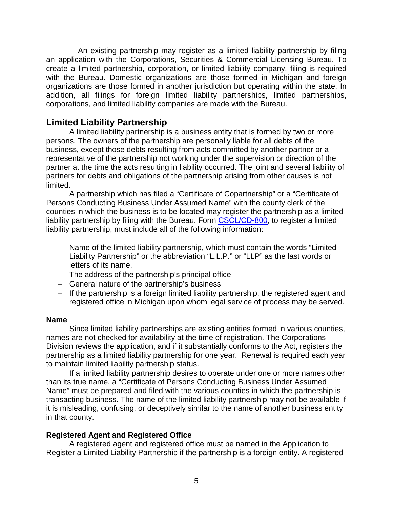An existing partnership may register as a limited liability partnership by filing an application with the Corporations, Securities & Commercial Licensing Bureau. To create a limited partnership, corporation, or limited liability company, filing is required with the Bureau. Domestic organizations are those formed in Michigan and foreign organizations are those formed in another jurisdiction but operating within the state. In addition, all filings for foreign limited liability partnerships, limited partnerships, corporations, and limited liability companies are made with the Bureau.

## **Limited Liability Partnership**

A limited liability partnership is a business entity that is formed by two or more persons. The owners of the partnership are personally liable for all debts of the business, except those debts resulting from acts committed by another partner or a representative of the partnership not working under the supervision or direction of the partner at the time the acts resulting in liability occurred. The joint and several liability of partners for debts and obligations of the partnership arising from other causes is not limited.

A partnership which has filed a "Certificate of Copartnership" or a "Certificate of Persons Conducting Business Under Assumed Name" with the county clerk of the counties in which the business is to be located may register the partnership as a limited liability partnership by filing with the Bureau. Form [CSCL/CD-800,](http://www.michigan.gov/documents/lara/800_08-15_528075_7.pdf) to register a limited liability partnership, must include all of the following information:

- − Name of the limited liability partnership, which must contain the words "Limited Liability Partnership" or the abbreviation "L.L.P." or "LLP" as the last words or letters of its name.
- − The address of the partnership's principal office
- − General nature of the partnership's business
- − If the partnership is a foreign limited liability partnership, the registered agent and registered office in Michigan upon whom legal service of process may be served.

#### **Name**

Since limited liability partnerships are existing entities formed in various counties, names are not checked for availability at the time of registration. The Corporations Division reviews the application, and if it substantially conforms to the Act, registers the partnership as a limited liability partnership for one year. Renewal is required each year to maintain limited liability partnership status.

If a limited liability partnership desires to operate under one or more names other than its true name, a "Certificate of Persons Conducting Business Under Assumed Name" must be prepared and filed with the various counties in which the partnership is transacting business. The name of the limited liability partnership may not be available if it is misleading, confusing, or deceptively similar to the name of another business entity in that county.

#### **Registered Agent and Registered Office**

A registered agent and registered office must be named in the Application to Register a Limited Liability Partnership if the partnership is a foreign entity. A registered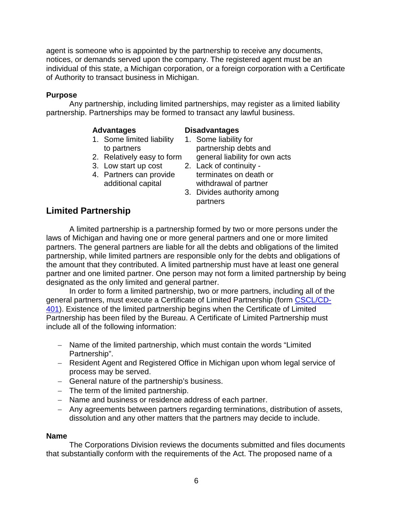agent is someone who is appointed by the partnership to receive any documents, notices, or demands served upon the company. The registered agent must be an individual of this state, a Michigan corporation, or a foreign corporation with a Certificate of Authority to transact business in Michigan.

#### **Purpose**

Any partnership, including limited partnerships, may register as a limited liability partnership. Partnerships may be formed to transact any lawful business.

- **Advantages Disadvantages** 1. Some limited liability
- 
- 3. Low start up cost
- 

- to partners partnership debts and
- 2. Relatively easy to form general liability for own acts<br>3. Low start up cost 2. Lack of continuity -4. Partners can provide terminates on death or additional capital withdrawal of partner
	- 3. Divides authority among partners

## **Limited Partnership**

A limited partnership is a partnership formed by two or more persons under the laws of Michigan and having one or more general partners and one or more limited partners. The general partners are liable for all the debts and obligations of the limited partnership, while limited partners are responsible only for the debts and obligations of the amount that they contributed. A limited partnership must have at least one general partner and one limited partner. One person may not form a limited partnership by being designated as the only limited and general partner.

In order to form a limited partnership, two or more partners, including all of the general partners, must execute a Certificate of Limited Partnership (form [CSCL/CD-](http://www.michigan.gov/documents/lara/401_08-15_528120_7.pdf)[401\)](http://www.michigan.gov/documents/lara/401_08-15_528120_7.pdf). Existence of the limited partnership begins when the Certificate of Limited Partnership has been filed by the Bureau. A Certificate of Limited Partnership must include all of the following information:

- − Name of the limited partnership, which must contain the words "Limited Partnership".
- − Resident Agent and Registered Office in Michigan upon whom legal service of process may be served.
- − General nature of the partnership's business.
- − The term of the limited partnership.
- − Name and business or residence address of each partner.
- − Any agreements between partners regarding terminations, distribution of assets, dissolution and any other matters that the partners may decide to include.

#### **Name**

The Corporations Division reviews the documents submitted and files documents that substantially conform with the requirements of the Act. The proposed name of a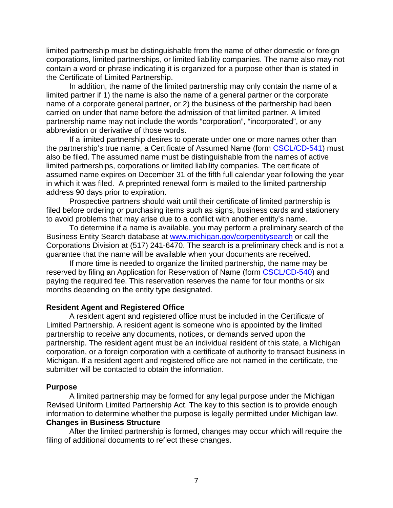limited partnership must be distinguishable from the name of other domestic or foreign corporations, limited partnerships, or limited liability companies. The name also may not contain a word or phrase indicating it is organized for a purpose other than is stated in the Certificate of Limited Partnership.

In addition, the name of the limited partnership may only contain the name of a limited partner if 1) the name is also the name of a general partner or the corporate name of a corporate general partner, or 2) the business of the partnership had been carried on under that name before the admission of that limited partner. A limited partnership name may not include the words "corporation", "incorporated", or any abbreviation or derivative of those words.

If a limited partnership desires to operate under one or more names other than the partnership's true name, a Certificate of Assumed Name (form [CSCL/CD-541\)](http://www.michigan.gov/documents/lara/541_08-15_527736_7.pdf) must also be filed. The assumed name must be distinguishable from the names of active limited partnerships, corporations or limited liability companies. The certificate of assumed name expires on December 31 of the fifth full calendar year following the year in which it was filed. A preprinted renewal form is mailed to the limited partnership address 90 days prior to expiration.

Prospective partners should wait until their certificate of limited partnership is filed before ordering or purchasing items such as signs, business cards and stationery to avoid problems that may arise due to a conflict with another entity's name.

To determine if a name is available, you may perform a preliminary search of the Business Entity Search database at [www.michigan.gov/corpentitysearch](http://www.michigan.gov/corpentitysearch) or call the Corporations Division at (517) 241-6470. The search is a preliminary check and is not a guarantee that the name will be available when your documents are received.

If more time is needed to organize the limited partnership, the name may be reserved by filing an Application for Reservation of Name (form [CSCL/CD-540\)](http://www.dleg.state.mi.us/bcsc/forms/corp/corp/540.pdf) and paying the required fee. This reservation reserves the name for four months or six months depending on the entity type designated.

#### **Resident Agent and Registered Office**

A resident agent and registered office must be included in the Certificate of Limited Partnership. A resident agent is someone who is appointed by the limited partnership to receive any documents, notices, or demands served upon the partnership. The resident agent must be an individual resident of this state, a Michigan corporation, or a foreign corporation with a certificate of authority to transact business in Michigan. If a resident agent and registered office are not named in the certificate, the submitter will be contacted to obtain the information.

#### **Purpose**

A limited partnership may be formed for any legal purpose under the Michigan Revised Uniform Limited Partnership Act. The key to this section is to provide enough information to determine whether the purpose is legally permitted under Michigan law. **Changes in Business Structure**

After the limited partnership is formed, changes may occur which will require the filing of additional documents to reflect these changes.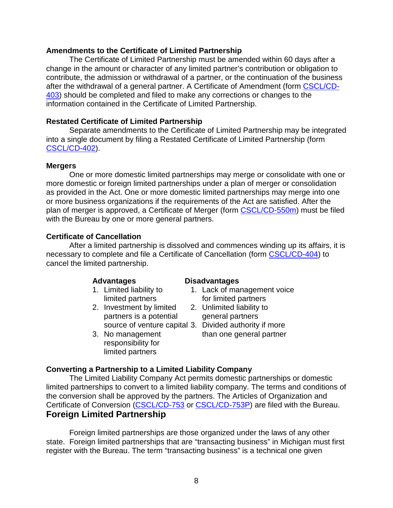#### **Amendments to the Certificate of Limited Partnership**

The Certificate of Limited Partnership must be amended within 60 days after a change in the amount or character of any limited partner's contribution or obligation to contribute, the admission or withdrawal of a partner, or the continuation of the business after the withdrawal of a general partner. A Certificate of Amendment (form [CSCL/CD-](http://www.michigan.gov/documents/lara/403_08-15_528128_7.pdf)[403\)](http://www.michigan.gov/documents/lara/403_08-15_528128_7.pdf) should be completed and filed to make any corrections or changes to the information contained in the Certificate of Limited Partnership.

#### **Restated Certificate of Limited Partnership**

Separate amendments to the Certificate of Limited Partnership may be integrated into a single document by filing a Restated Certificate of Limited Partnership (form [CSCL/CD-402\)](http://www.michigan.gov/documents/lara/402_08-15_528127_7.pdf).

#### **Mergers**

One or more domestic limited partnerships may merge or consolidate with one or more domestic or foreign limited partnerships under a plan of merger or consolidation as provided in the Act. One or more domestic limited partnerships may merge into one or more business organizations if the requirements of the Act are satisfied. After the plan of merger is approved, a Certificate of Merger (form [CSCL/CD-550m\)](http://www.michigan.gov/documents/lara/550m_08-15_527748_7.pdf) must be filed with the Bureau by one or more general partners.

### **Certificate of Cancellation**

After a limited partnership is dissolved and commences winding up its affairs, it is necessary to complete and file a Certificate of Cancellation (form [CSCL/CD-404\)](http://www.michigan.gov/documents/lara/404_08-15_528129_7.pdf) to cancel the limited partnership.

- 
- 2. Investment by limited 2. Unlimited liability to partners is a potential general partners source of venture capital 3. Divided authority if more
- responsibility for limited partners

#### **Advantages Disadvantages**

- 1. Limited liability to 1. Lack of management voice limited partners for limited partners
	-

3. No management than one general partner

#### **Converting a Partnership to a Limited Liability Company**

The Limited Liability Company Act permits domestic partnerships or domestic limited partnerships to convert to a limited liability company. The terms and conditions of the conversion shall be approved by the partners. The Articles of Organization and Certificate of Conversion [\(CSCL/CD-753](http://www.michigan.gov/documents/lara/753_08-15_528275_7.pdf) or [CSCL/CD-753P\)](http://www.michigan.gov/documents/lara/753P_08-15_528276_7.pdf) are filed with the Bureau. **Foreign Limited Partnership**

Foreign limited partnerships are those organized under the laws of any other state. Foreign limited partnerships that are "transacting business" in Michigan must first register with the Bureau. The term "transacting business" is a technical one given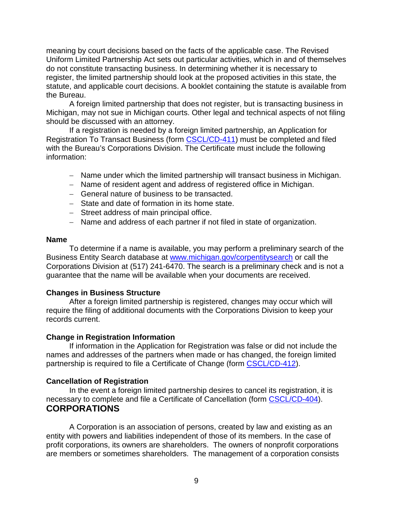meaning by court decisions based on the facts of the applicable case. The Revised Uniform Limited Partnership Act sets out particular activities, which in and of themselves do not constitute transacting business. In determining whether it is necessary to register, the limited partnership should look at the proposed activities in this state, the statute, and applicable court decisions. A booklet containing the statute is available from the Bureau.

A foreign limited partnership that does not register, but is transacting business in Michigan, may not sue in Michigan courts. Other legal and technical aspects of not filing should be discussed with an attorney.

If a registration is needed by a foreign limited partnership, an Application for Registration To Transact Business (form [CSCL/CD-411\)](http://www.michigan.gov/documents/lara/411_08-15_528131_7.pdf) must be completed and filed with the Bureau's Corporations Division. The Certificate must include the following information:

- − Name under which the limited partnership will transact business in Michigan.
- − Name of resident agent and address of registered office in Michigan.
- − General nature of business to be transacted.
- − State and date of formation in its home state.
- − Street address of main principal office.
- − Name and address of each partner if not filed in state of organization.

#### **Name**

To determine if a name is available, you may perform a preliminary search of the Business Entity Search database at [www.michigan.gov/corpentitysearch](http://www.michigan.gov/corpentitysearch) or call the Corporations Division at (517) 241-6470. The search is a preliminary check and is not a guarantee that the name will be available when your documents are received.

#### **Changes in Business Structure**

After a foreign limited partnership is registered, changes may occur which will require the filing of additional documents with the Corporations Division to keep your records current.

#### **Change in Registration Information**

If information in the Application for Registration was false or did not include the names and addresses of the partners when made or has changed, the foreign limited partnership is required to file a Certificate of Change (form [CSCL/CD-412\)](http://www.michigan.gov/documents/lara/412_08-15_528132_7.pdf).

### **Cancellation of Registration**

In the event a foreign limited partnership desires to cancel its registration, it is necessary to complete and file a Certificate of Cancellation (form [CSCL/CD-404\)](http://www.michigan.gov/documents/lara/404_08-15_528129_7.pdf). **CORPORATIONS**

A Corporation is an association of persons, created by law and existing as an entity with powers and liabilities independent of those of its members. In the case of profit corporations, its owners are shareholders. The owners of nonprofit corporations are members or sometimes shareholders. The management of a corporation consists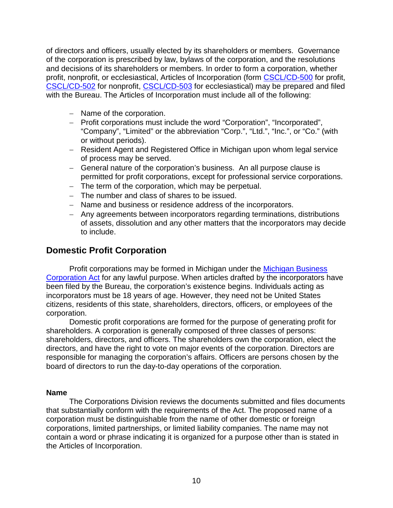of directors and officers, usually elected by its shareholders or members. Governance of the corporation is prescribed by law, bylaws of the corporation, and the resolutions and decisions of its shareholders or members. In order to form a corporation, whether profit, nonprofit, or ecclesiastical, Articles of Incorporation (form [CSCL/CD-500](http://www.michigan.gov/documents/lara/500_08-15_527667_7.pdf) for profit, [CSCL/CD-502](http://www.michigan.gov/documents/lara/502_08-15_527692_7.pdf) for nonprofit, [CSCL/CD-503](http://www.michigan.gov/documents/lara/503_08-15_527693_7.pdf) for ecclesiastical) may be prepared and filed with the Bureau. The Articles of Incorporation must include all of the following:

- − Name of the corporation.
- − Profit corporations must include the word "Corporation", "Incorporated", "Company", "Limited" or the abbreviation "Corp.", "Ltd.", "Inc.", or "Co." (with or without periods).
- − Resident Agent and Registered Office in Michigan upon whom legal service of process may be served.
- − General nature of the corporation's business. An all purpose clause is permitted for profit corporations, except for professional service corporations.
- − The term of the corporation, which may be perpetual.
- − The number and class of shares to be issued.
- − Name and business or residence address of the incorporators.
- − Any agreements between incorporators regarding terminations, distributions of assets, dissolution and any other matters that the incorporators may decide to include.

## **Domestic Profit Corporation**

Profit corporations may be formed in Michigan under the [Michigan Business](http://www.legislature.mi.gov/(wtpgiraqrxjf44ndha1pqr2e)/mileg.aspx?page=GetMCLDocument&objectname=mcl-Act-284-of-1972&queryid=12138927)  [Corporation Act](http://www.legislature.mi.gov/(wtpgiraqrxjf44ndha1pqr2e)/mileg.aspx?page=GetMCLDocument&objectname=mcl-Act-284-of-1972&queryid=12138927) for any lawful purpose. When articles drafted by the incorporators have been filed by the Bureau, the corporation's existence begins. Individuals acting as incorporators must be 18 years of age. However, they need not be United States citizens, residents of this state, shareholders, directors, officers, or employees of the corporation.

Domestic profit corporations are formed for the purpose of generating profit for shareholders. A corporation is generally composed of three classes of persons: shareholders, directors, and officers. The shareholders own the corporation, elect the directors, and have the right to vote on major events of the corporation. Directors are responsible for managing the corporation's affairs. Officers are persons chosen by the board of directors to run the day-to-day operations of the corporation.

#### **Name**

The Corporations Division reviews the documents submitted and files documents that substantially conform with the requirements of the Act. The proposed name of a corporation must be distinguishable from the name of other domestic or foreign corporations, limited partnerships, or limited liability companies. The name may not contain a word or phrase indicating it is organized for a purpose other than is stated in the Articles of Incorporation.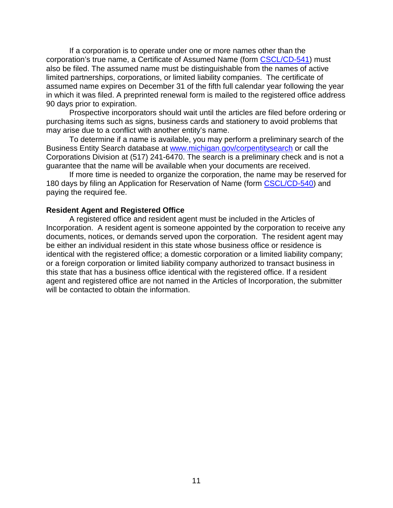If a corporation is to operate under one or more names other than the corporation's true name, a Certificate of Assumed Name (form [CSCL/CD-541\)](http://www.michigan.gov/documents/lara/541_08-15_527736_7.pdf) must also be filed. The assumed name must be distinguishable from the names of active limited partnerships, corporations, or limited liability companies. The certificate of assumed name expires on December 31 of the fifth full calendar year following the year in which it was filed. A preprinted renewal form is mailed to the registered office address 90 days prior to expiration.

Prospective incorporators should wait until the articles are filed before ordering or purchasing items such as signs, business cards and stationery to avoid problems that may arise due to a conflict with another entity's name.

To determine if a name is available, you may perform a preliminary search of the Business Entity Search database at [www.michigan.gov/corpentitysearch](http://www.michigan.gov/corpentitysearch) or call the Corporations Division at (517) 241-6470. The search is a preliminary check and is not a guarantee that the name will be available when your documents are received.

If more time is needed to organize the corporation, the name may be reserved for 180 days by filing an Application for Reservation of Name (form [CSCL/CD-540\)](http://www.michigan.gov/documents/lara/540_08-15_527734_7.pdf) and paying the required fee.

#### **Resident Agent and Registered Office**

A registered office and resident agent must be included in the Articles of Incorporation. A resident agent is someone appointed by the corporation to receive any documents, notices, or demands served upon the corporation. The resident agent may be either an individual resident in this state whose business office or residence is identical with the registered office; a domestic corporation or a limited liability company; or a foreign corporation or limited liability company authorized to transact business in this state that has a business office identical with the registered office. If a resident agent and registered office are not named in the Articles of Incorporation, the submitter will be contacted to obtain the information.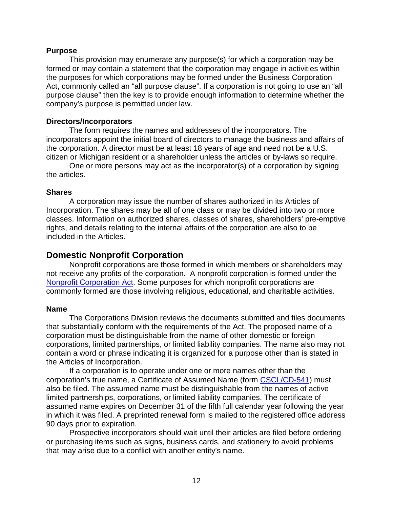#### **Purpose**

This provision may enumerate any purpose(s) for which a corporation may be formed or may contain a statement that the corporation may engage in activities within the purposes for which corporations may be formed under the Business Corporation Act, commonly called an "all purpose clause". If a corporation is not going to use an "all purpose clause" then the key is to provide enough information to determine whether the company's purpose is permitted under law.

#### **Directors/Incorporators**

The form requires the names and addresses of the incorporators. The incorporators appoint the initial board of directors to manage the business and affairs of the corporation. A director must be at least 18 years of age and need not be a U.S. citizen or Michigan resident or a shareholder unless the articles or by-laws so require.

One or more persons may act as the incorporator(s) of a corporation by signing the articles.

#### **Shares**

A corporation may issue the number of shares authorized in its Articles of Incorporation. The shares may be all of one class or may be divided into two or more classes. Information on authorized shares, classes of shares, shareholders' pre-emptive rights, and details relating to the internal affairs of the corporation are also to be included in the Articles.

### **Domestic Nonprofit Corporation**

Nonprofit corporations are those formed in which members or shareholders may not receive any profits of the corporation. A nonprofit corporation is formed under the [Nonprofit Corporation Act.](http://www.legislature.mi.gov/(wtpgiraqrxjf44ndha1pqr2e)/mileg.aspx?page=GetMCLDocument&objectname=mcl-Act-162-of-1982&queryid=12138945) Some purposes for which nonprofit corporations are commonly formed are those involving religious, educational, and charitable activities.

#### **Name**

The Corporations Division reviews the documents submitted and files documents that substantially conform with the requirements of the Act. The proposed name of a corporation must be distinguishable from the name of other domestic or foreign corporations, limited partnerships, or limited liability companies. The name also may not contain a word or phrase indicating it is organized for a purpose other than is stated in the Articles of Incorporation.

If a corporation is to operate under one or more names other than the corporation's true name, a Certificate of Assumed Name (form [CSCL/CD-541\)](http://www.michigan.gov/documents/lara/541_08-15_527736_7.pdf) must also be filed. The assumed name must be distinguishable from the names of active limited partnerships, corporations, or limited liability companies. The certificate of assumed name expires on December 31 of the fifth full calendar year following the year in which it was filed. A preprinted renewal form is mailed to the registered office address 90 days prior to expiration.

Prospective incorporators should wait until their articles are filed before ordering or purchasing items such as signs, business cards, and stationery to avoid problems that may arise due to a conflict with another entity's name.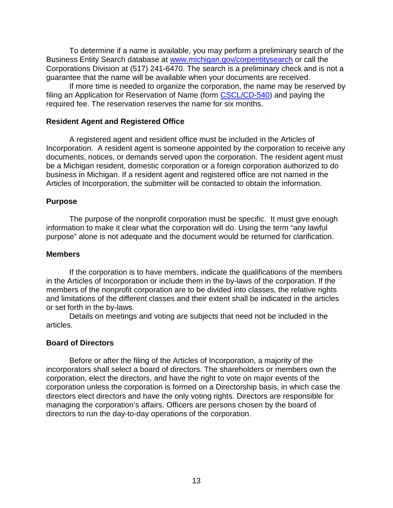To determine if a name is available, you may perform a preliminary search of the Business Entity Search database at [www.michigan.gov/corpentitysearch](http://www.michigan.gov/corpentitysearch) or call the Corporations Division at (517) 241-6470. The search is a preliminary check and is not a guarantee that the name will be available when your documents are received.

If more time is needed to organize the corporation, the name may be reserved by filing an Application for Reservation of Name (form [CSCL/CD-540\)](http://www.michigan.gov/documents/lara/540_08-15_527734_7.pdf) and paying the required fee. The reservation reserves the name for six months.

#### **Resident Agent and Registered Office**

A registered agent and resident office must be included in the Articles of Incorporation. A resident agent is someone appointed by the corporation to receive any documents, notices, or demands served upon the corporation. The resident agent must be a Michigan resident, domestic corporation or a foreign corporation authorized to do business in Michigan. If a resident agent and registered office are not named in the Articles of Incorporation, the submitter will be contacted to obtain the information.

#### **Purpose**

The purpose of the nonprofit corporation must be specific. It must give enough information to make it clear what the corporation will do. Using the term "any lawful purpose" alone is not adequate and the document would be returned for clarification.

#### **Members**

If the corporation is to have members, indicate the qualifications of the members in the Articles of Incorporation or include them in the by-laws of the corporation. If the members of the nonprofit corporation are to be divided into classes, the relative rights and limitations of the different classes and their extent shall be indicated in the articles or set forth in the by-laws.

Details on meetings and voting are subjects that need not be included in the articles.

#### **Board of Directors**

Before or after the filing of the Articles of Incorporation, a majority of the incorporators shall select a board of directors. The shareholders or members own the corporation, elect the directors, and have the right to vote on major events of the corporation unless the corporation is formed on a Directorship basis, in which case the directors elect directors and have the only voting rights. Directors are responsible for managing the corporation's affairs. Officers are persons chosen by the board of directors to run the day-to-day operations of the corporation.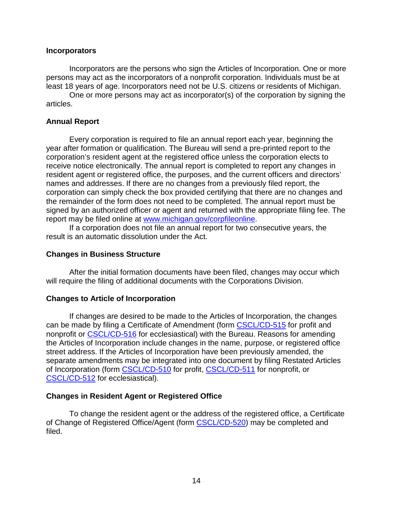#### **Incorporators**

Incorporators are the persons who sign the Articles of Incorporation. One or more persons may act as the incorporators of a nonprofit corporation. Individuals must be at least 18 years of age. Incorporators need not be U.S. citizens or residents of Michigan.

One or more persons may act as incorporator(s) of the corporation by signing the articles.

#### **Annual Report**

Every corporation is required to file an annual report each year, beginning the year after formation or qualification. The Bureau will send a pre-printed report to the corporation's resident agent at the registered office unless the corporation elects to receive notice electronically. The annual report is completed to report any changes in resident agent or registered office, the purposes, and the current officers and directors' names and addresses. If there are no changes from a previously filed report, the corporation can simply check the box provided certifying that there are no changes and the remainder of the form does not need to be completed. The annual report must be signed by an authorized officer or agent and returned with the appropriate filing fee. The report may be filed online at [www.michigan.gov/corpfileonline.](http://www.michigan.gov/corpfileonline)

If a corporation does not file an annual report for two consecutive years, the result is an automatic dissolution under the Act.

#### **Changes in Business Structure**

After the initial formation documents have been filed, changes may occur which will require the filing of additional documents with the Corporations Division.

#### **Changes to Article of Incorporation**

If changes are desired to be made to the Articles of Incorporation, the changes can be made by filing a Certificate of Amendment (form [CSCL/CD-515](http://www.michigan.gov/documents/lara/515_08-15_527706_7.pdf) for profit and nonprofit or [CSCL/CD-516](http://www.michigan.gov/documents/lara/516_08-15_527708_7.pdf) for ecclesiastical) with the Bureau. Reasons for amending the Articles of Incorporation include changes in the name, purpose, or registered office street address. If the Articles of Incorporation have been previously amended, the separate amendments may be integrated into one document by filing Restated Articles of Incorporation (form [CSCL/CD-510](http://www.michigan.gov/documents/lara/510_08-15_527694_7.pdf) for profit, [CSCL/CD-511](http://www.michigan.gov/documents/lara/511_10-15_527700_7.pdf) for nonprofit, or [CSCL/CD-512](http://www.michigan.gov/documents/lara/512_08-15_527701_7.pdf) for ecclesiastical).

#### **Changes in Resident Agent or Registered Office**

To change the resident agent or the address of the registered office, a Certificate of Change of Registered Office/Agent (form [CSCL/CD-520\)](http://www.michigan.gov/documents/lara/520_08-15_527716_7.pdf) may be completed and filed.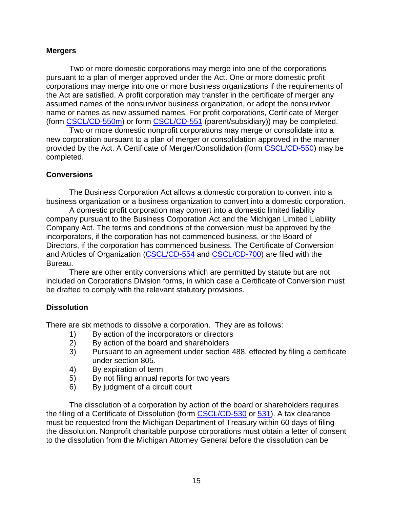#### **Mergers**

Two or more domestic corporations may merge into one of the corporations pursuant to a plan of merger approved under the Act. One or more domestic profit corporations may merge into one or more business organizations if the requirements of the Act are satisfied. A profit corporation may transfer in the certificate of merger any assumed names of the nonsurvivor business organization, or adopt the nonsurvivor name or names as new assumed names. For profit corporations, Certificate of Merger (form [CSCL/CD-550m\)](http://www.michigan.gov/documents/lara/550m_08-15_527748_7.pdf) or form [CSCL/CD-551](http://www.michigan.gov/documents/lara/551_08-15_527750_7.pdf) (parent/subsidiary)) may be completed.

Two or more domestic nonprofit corporations may merge or consolidate into a new corporation pursuant to a plan of merger or consolidation approved in the manner provided by the Act. A Certificate of Merger/Consolidation (form [CSCL/CD-550\)](http://www.michigan.gov/documents/lara/550_08-15_527746_7.pdf) may be completed.

#### **Conversions**

The Business Corporation Act allows a domestic corporation to convert into a business organization or a business organization to convert into a domestic corporation.

A domestic profit corporation may convert into a domestic limited liability company pursuant to the Business Corporation Act and the Michigan Limited Liability Company Act. The terms and conditions of the conversion must be approved by the incorporators, if the corporation has not commenced business, or the Board of Directors, if the corporation has commenced business. The Certificate of Conversion and Articles of Organization [\(CSCL/CD-554](http://www.michigan.gov/documents/lara/554_08-15_527756_7.pdf) and [CSCL/CD-700\)](http://www.michigan.gov/documents/lara/700_08-15_528193_7.pdf) are filed with the Bureau.

There are other entity conversions which are permitted by statute but are not included on Corporations Division forms, in which case a Certificate of Conversion must be drafted to comply with the relevant statutory provisions.

#### **Dissolution**

There are six methods to dissolve a corporation. They are as follows:

- 1) By action of the incorporators or directors<br>2) By action of the board and shareholders
- By action of the board and shareholders
- 3) Pursuant to an agreement under section 488, effected by filing a certificate under section 805.
- 4) By expiration of term
- 5) By not filing annual reports for two years
- 6) By judgment of a circuit court

The dissolution of a corporation by action of the board or shareholders requires the filing of a Certificate of Dissolution (form [CSCL/CD-530](http://www.michigan.gov/documents/lara/530_08-15_527726_7.pdf) or [531\)](http://www.michigan.gov/documents/lara/531_08-15_527729_7.pdf). A tax clearance must be requested from the Michigan Department of Treasury within 60 days of filing the dissolution. Nonprofit charitable purpose corporations must obtain a letter of consent to the dissolution from the Michigan Attorney General before the dissolution can be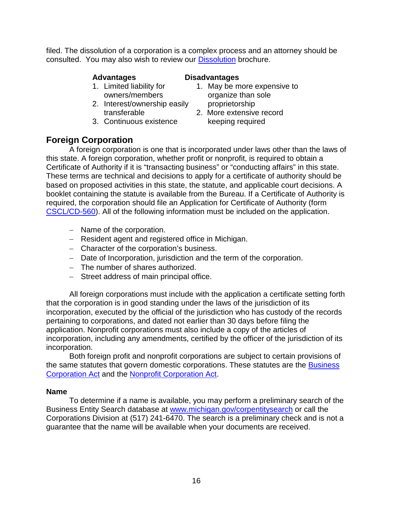filed. The dissolution of a corporation is a complex process and an attorney should be consulted. You may also wish to review our [Dissolution](http://www.michigan.gov/documents/lara/8007_528147_7.pdf) brochure.

- 
- 2. Interest/ownership easily proprietorship
- 3. Continuous existence betweeping required

### **Advantages Disadvantages**

- 1. Limited liability for **1.** May be more expensive to owners/members organize than sole
	- transferable 2. More extensive record

## **Foreign Corporation**

A foreign corporation is one that is incorporated under laws other than the laws of this state. A foreign corporation, whether profit or nonprofit, is required to obtain a Certificate of Authority if it is "transacting business" or "conducting affairs" in this state. These terms are technical and decisions to apply for a certificate of authority should be based on proposed activities in this state, the statute, and applicable court decisions. A booklet containing the statute is available from the Bureau. If a Certificate of Authority is required, the corporation should file an Application for Certificate of Authority (form [CSCL/CD-560\)](http://www.michigan.gov/documents/lara/560_08-15_527757_7.pdf). All of the following information must be included on the application.

- − Name of the corporation.
- − Resident agent and registered office in Michigan.
- − Character of the corporation's business.
- − Date of Incorporation, jurisdiction and the term of the corporation.
- − The number of shares authorized.
- − Street address of main principal office.

All foreign corporations must include with the application a certificate setting forth that the corporation is in good standing under the laws of the jurisdiction of its incorporation, executed by the official of the jurisdiction who has custody of the records pertaining to corporations, and dated not earlier than 30 days before filing the application. Nonprofit corporations must also include a copy of the articles of incorporation, including any amendments, certified by the officer of the jurisdiction of its incorporation.

Both foreign profit and nonprofit corporations are subject to certain provisions of the same statutes that govern domestic corporations. These statutes are the Business [Corporation Act](http://www.legislature.mi.gov/(wtpgiraqrxjf44ndha1pqr2e)/mileg.aspx?page=GetMCLDocument&objectname=mcl-Act-284-of-1972&queryid=12138927) and the [Nonprofit Corporation Act.](http://www.legislature.mi.gov/(wtpgiraqrxjf44ndha1pqr2e)/mileg.aspx?page=GetMCLDocument&objectname=mcl-Act-162-of-1982&queryid=12138945)

#### **Name**

To determine if a name is available, you may perform a preliminary search of the Business Entity Search database at [www.michigan.gov/corpentitysearch](http://www.michigan.gov/corpentitysearch) or call the Corporations Division at (517) 241-6470. The search is a preliminary check and is not a guarantee that the name will be available when your documents are received.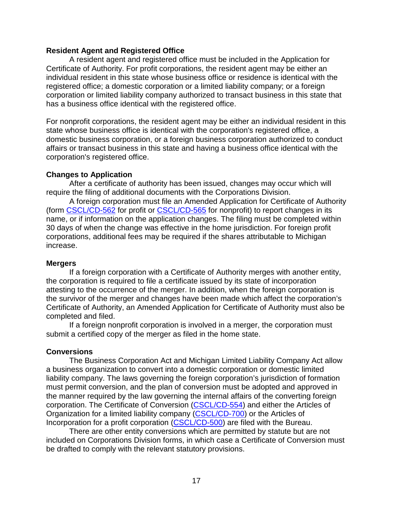#### **Resident Agent and Registered Office**

A resident agent and registered office must be included in the Application for Certificate of Authority. For profit corporations, the resident agent may be either an individual resident in this state whose business office or residence is identical with the registered office; a domestic corporation or a limited liability company; or a foreign corporation or limited liability company authorized to transact business in this state that has a business office identical with the registered office.

For nonprofit corporations, the resident agent may be either an individual resident in this state whose business office is identical with the corporation's registered office, a domestic business corporation, or a foreign business corporation authorized to conduct affairs or transact business in this state and having a business office identical with the corporation's registered office.

#### **Changes to Application**

After a certificate of authority has been issued, changes may occur which will require the filing of additional documents with the Corporations Division.

A foreign corporation must file an Amended Application for Certificate of Authority (form [CSCL/CD-562](http://www.michigan.gov/documents/lara/562_10-17_5_605037_7.pdf) for profit or [CSCL/CD-565](http://www.michigan.gov/documents/lara/565_08-15_527759_7.pdf) for nonprofit) to report changes in its name, or if information on the application changes. The filing must be completed within 30 days of when the change was effective in the home jurisdiction. For foreign profit corporations, additional fees may be required if the shares attributable to Michigan increase.

#### **Mergers**

If a foreign corporation with a Certificate of Authority merges with another entity, the corporation is required to file a certificate issued by its state of incorporation attesting to the occurrence of the merger. In addition, when the foreign corporation is the survivor of the merger and changes have been made which affect the corporation's Certificate of Authority, an Amended Application for Certificate of Authority must also be completed and filed.

If a foreign nonprofit corporation is involved in a merger, the corporation must submit a certified copy of the merger as filed in the home state.

#### **Conversions**

The Business Corporation Act and Michigan Limited Liability Company Act allow a business organization to convert into a domestic corporation or domestic limited liability company. The laws governing the foreign corporation's jurisdiction of formation must permit conversion, and the plan of conversion must be adopted and approved in the manner required by the law governing the internal affairs of the converting foreign corporation. The Certificate of Conversion [\(CSCL/CD-554\)](http://www.michigan.gov/documents/lara/554_08-15_527756_7.pdf) and either the Articles of Organization for a limited liability company [\(CSCL/CD-700\)](http://www.michigan.gov/documents/lara/700_08-15_528193_7.pdf) or the Articles of Incorporation for a profit corporation [\(CSCL/CD-500\)](http://www.michigan.gov/documents/lara/500_08-15_527667_7.pdf) are filed with the Bureau.

There are other entity conversions which are permitted by statute but are not included on Corporations Division forms, in which case a Certificate of Conversion must be drafted to comply with the relevant statutory provisions.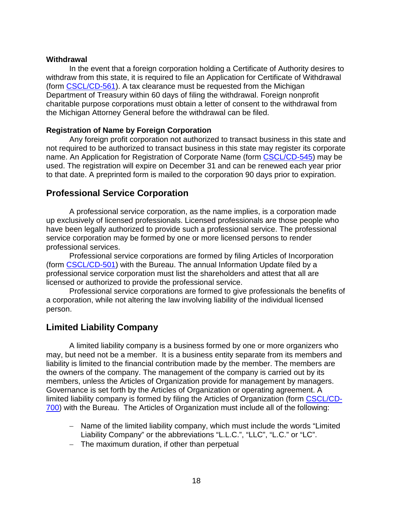#### **Withdrawal**

In the event that a foreign corporation holding a Certificate of Authority desires to withdraw from this state, it is required to file an Application for Certificate of Withdrawal (form [CSCL/CD-561\)](http://www.dleg.state.mi.us/bcsc/forms/corp/corp/561.pdf). A tax clearance must be requested from the Michigan Department of Treasury within 60 days of filing the withdrawal. Foreign nonprofit charitable purpose corporations must obtain a letter of consent to the withdrawal from the Michigan Attorney General before the withdrawal can be filed.

#### **Registration of Name by Foreign Corporation**

Any foreign profit corporation not authorized to transact business in this state and not required to be authorized to transact business in this state may register its corporate name. An Application for Registration of Corporate Name (form [CSCL/CD-545\)](http://www.michigan.gov/documents/lara/545_08-15_527743_7.pdf) may be used. The registration will expire on December 31 and can be renewed each year prior to that date. A preprinted form is mailed to the corporation 90 days prior to expiration.

## **Professional Service Corporation**

A professional service corporation, as the name implies, is a corporation made up exclusively of licensed professionals. Licensed professionals are those people who have been legally authorized to provide such a professional service. The professional service corporation may be formed by one or more licensed persons to render professional services.

Professional service corporations are formed by filing Articles of Incorporation (form [CSCL/CD-501\)](http://www.michigan.gov/documents/lara/501_08-15_527669_7.pdf) with the Bureau. The annual Information Update filed by a professional service corporation must list the shareholders and attest that all are licensed or authorized to provide the professional service.

Professional service corporations are formed to give professionals the benefits of a corporation, while not altering the law involving liability of the individual licensed person.

## **Limited Liability Company**

A limited liability company is a business formed by one or more organizers who may, but need not be a member. It is a business entity separate from its members and liability is limited to the financial contribution made by the member. The members are the owners of the company. The management of the company is carried out by its members, unless the Articles of Organization provide for management by managers. Governance is set forth by the Articles of Organization or operating agreement. A limited liability company is formed by filing the Articles of Organization (form [CSCL/CD-](http://www.michigan.gov/documents/lara/700_08-15_528193_7.pdf)[700\)](http://www.michigan.gov/documents/lara/700_08-15_528193_7.pdf) with the Bureau. The Articles of Organization must include all of the following:

- − Name of the limited liability company, which must include the words "Limited Liability Company" or the abbreviations "L.L.C.", "LLC", "L.C." or "LC".
- − The maximum duration, if other than perpetual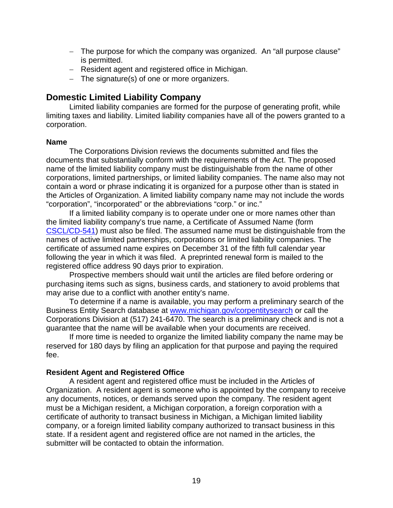- − The purpose for which the company was organized. An "all purpose clause" is permitted.
- − Resident agent and registered office in Michigan.
- − The signature(s) of one or more organizers.

## **Domestic Limited Liability Company**

Limited liability companies are formed for the purpose of generating profit, while limiting taxes and liability. Limited liability companies have all of the powers granted to a corporation.

#### **Name**

The Corporations Division reviews the documents submitted and files the documents that substantially conform with the requirements of the Act. The proposed name of the limited liability company must be distinguishable from the name of other corporations, limited partnerships, or limited liability companies. The name also may not contain a word or phrase indicating it is organized for a purpose other than is stated in the Articles of Organization. A limited liability company name may not include the words "corporation", "incorporated" or the abbreviations "corp." or inc."

If a limited liability company is to operate under one or more names other than the limited liability company's true name, a Certificate of Assumed Name (form [CSCL/CD-541\)](http://www.michigan.gov/documents/lara/541_08-15_527736_7.pdf) must also be filed. The assumed name must be distinguishable from the names of active limited partnerships, corporations or limited liability companies. The certificate of assumed name expires on December 31 of the fifth full calendar year following the year in which it was filed. A preprinted renewal form is mailed to the registered office address 90 days prior to expiration.

Prospective members should wait until the articles are filed before ordering or purchasing items such as signs, business cards, and stationery to avoid problems that may arise due to a conflict with another entity's name.

To determine if a name is available, you may perform a preliminary search of the Business Entity Search database at [www.michigan.gov/corpentitysearch](http://www.michigan.gov/corpentitysearch) or call the Corporations Division at (517) 241-6470. The search is a preliminary check and is not a guarantee that the name will be available when your documents are received.

If more time is needed to organize the limited liability company the name may be reserved for 180 days by filing an application for that purpose and paying the required fee.

#### **Resident Agent and Registered Office**

A resident agent and registered office must be included in the Articles of Organization. A resident agent is someone who is appointed by the company to receive any documents, notices, or demands served upon the company. The resident agent must be a Michigan resident, a Michigan corporation, a foreign corporation with a certificate of authority to transact business in Michigan, a Michigan limited liability company, or a foreign limited liability company authorized to transact business in this state. If a resident agent and registered office are not named in the articles, the submitter will be contacted to obtain the information.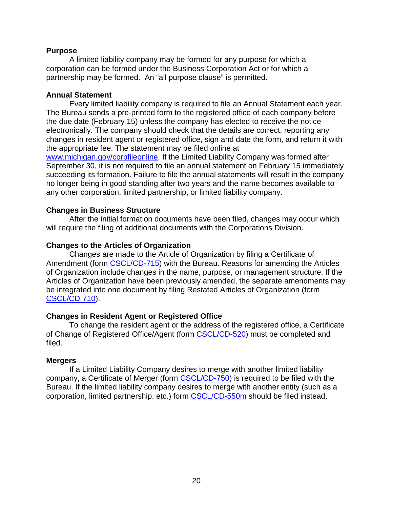#### **Purpose**

A limited liability company may be formed for any purpose for which a corporation can be formed under the Business Corporation Act or for which a partnership may be formed. An "all purpose clause" is permitted.

#### **Annual Statement**

Every limited liability company is required to file an Annual Statement each year. The Bureau sends a pre-printed form to the registered office of each company before the due date (February 15) unless the company has elected to receive the notice electronically. The company should check that the details are correct, reporting any changes in resident agent or registered office, sign and date the form, and return it with the appropriate fee. The statement may be filed online at [www.michigan.gov/corpfileonline.](http://www.michigan.gov/corpfileonline) If the Limited Liability Company was formed after September 30, it is not required to file an annual statement on February 15 immediately succeeding its formation. Failure to file the annual statements will result in the company no longer being in good standing after two years and the name becomes available to any other corporation, limited partnership, or limited liability company.

#### **Changes in Business Structure**

After the initial formation documents have been filed, changes may occur which will require the filing of additional documents with the Corporations Division.

#### **Changes to the Articles of Organization**

Changes are made to the Article of Organization by filing a Certificate of Amendment (form [CSCL/CD-715\)](http://www.michigan.gov/documents/lara/715_08-15_528199_7.pdf) with the Bureau. Reasons for amending the Articles of Organization include changes in the name, purpose, or management structure. If the Articles of Organization have been previously amended, the separate amendments may be integrated into one document by filing Restated Articles of Organization (form [CSCL/CD-710\)](http://www.michigan.gov/documents/lara/710_08-15_528197_7.pdf).

#### **Changes in Resident Agent or Registered Office**

To change the resident agent or the address of the registered office, a Certificate of Change of Registered Office/Agent (form [CSCL/CD-520\)](http://www.michigan.gov/documents/lara/520_08-15_527716_7.pdf) must be completed and filed.

#### **Mergers**

If a Limited Liability Company desires to merge with another limited liability company, a Certificate of Merger (form [CSCL/CD-750\)](http://www.michigan.gov/documents/lara/750_08-15_528273_7.pdf) is required to be filed with the Bureau. If the limited liability company desires to merge with another entity (such as a corporation, limited partnership, etc.) form [CSCL/CD-550m](http://www.michigan.gov/documents/lara/550m_08-15_527748_7.pdf) should be filed instead.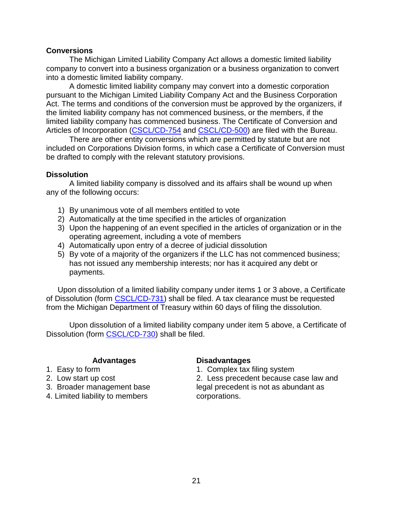#### **Conversions**

The Michigan Limited Liability Company Act allows a domestic limited liability company to convert into a business organization or a business organization to convert into a domestic limited liability company.

A domestic limited liability company may convert into a domestic corporation pursuant to the Michigan Limited Liability Company Act and the Business Corporation Act. The terms and conditions of the conversion must be approved by the organizers, if the limited liability company has not commenced business, or the members, if the limited liability company has commenced business. The Certificate of Conversion and Articles of Incorporation [\(CSCL/CD-754](http://www.michigan.gov/documents/lara/754_08-15_528295_7.pdf) and [CSCL/CD-500\)](http://www.michigan.gov/documents/lara/500_08-15_527667_7.pdf) are filed with the Bureau.

There are other entity conversions which are permitted by statute but are not included on Corporations Division forms, in which case a Certificate of Conversion must be drafted to comply with the relevant statutory provisions.

#### **Dissolution**

A limited liability company is dissolved and its affairs shall be wound up when any of the following occurs:

- 1) By unanimous vote of all members entitled to vote
- 2) Automatically at the time specified in the articles of organization
- 3) Upon the happening of an event specified in the articles of organization or in the operating agreement, including a vote of members
- 4) Automatically upon entry of a decree of judicial dissolution
- 5) By vote of a majority of the organizers if the LLC has not commenced business; has not issued any membership interests; nor has it acquired any debt or payments.

Upon dissolution of a limited liability company under items 1 or 3 above, a Certificate of Dissolution (form [CSCL/CD-731\)](http://www.michigan.gov/documents/lara/731_08-15_528272_7.pdf) shall be filed. A tax clearance must be requested from the Michigan Department of Treasury within 60 days of filing the dissolution.

Upon dissolution of a limited liability company under item 5 above, a Certificate of Dissolution (form [CSCL/CD-730\)](http://www.michigan.gov/documents/lara/730_08-15_528271_7.pdf) shall be filed.

- 
- 
- 
- 4. Limited liability to members

#### **Advantages Disadvantages**

1. Easy to form 1. Complex tax filing system

2. Low start up cost 2. Less precedent because case law and 3. Broader management base legal precedent is not as abundant as 4. Limited liability to members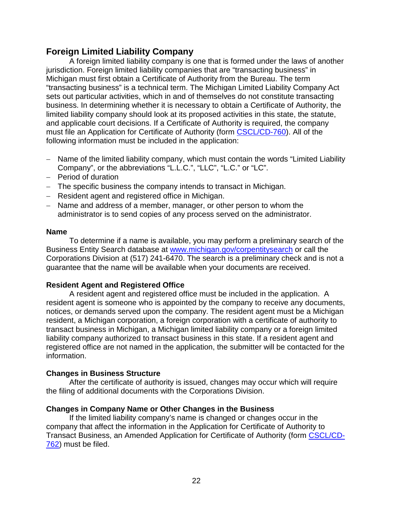## **Foreign Limited Liability Company**

A foreign limited liability company is one that is formed under the laws of another jurisdiction. Foreign limited liability companies that are "transacting business" in Michigan must first obtain a Certificate of Authority from the Bureau. The term "transacting business" is a technical term. The Michigan Limited Liability Company Act sets out particular activities, which in and of themselves do not constitute transacting business. In determining whether it is necessary to obtain a Certificate of Authority, the limited liability company should look at its proposed activities in this state, the statute, and applicable court decisions. If a Certificate of Authority is required, the company must file an Application for Certificate of Authority (form [CSCL/CD-760\)](http://www.michigan.gov/documents/lara/760_08-15_528297_7.pdf). All of the following information must be included in the application:

- − Name of the limited liability company, which must contain the words "Limited Liability Company", or the abbreviations "L.L.C.", "LLC", "L.C." or "LC".
- − Period of duration
- − The specific business the company intends to transact in Michigan.
- − Resident agent and registered office in Michigan.
- − Name and address of a member, manager, or other person to whom the administrator is to send copies of any process served on the administrator.

#### **Name**

To determine if a name is available, you may perform a preliminary search of the Business Entity Search database at [www.michigan.gov/corpentitysearch](http://www.michigan.gov/corpentitysearch) or call the Corporations Division at (517) 241-6470. The search is a preliminary check and is not a guarantee that the name will be available when your documents are received.

#### **Resident Agent and Registered Office**

A resident agent and registered office must be included in the application. A resident agent is someone who is appointed by the company to receive any documents, notices, or demands served upon the company. The resident agent must be a Michigan resident, a Michigan corporation, a foreign corporation with a certificate of authority to transact business in Michigan, a Michigan limited liability company or a foreign limited liability company authorized to transact business in this state. If a resident agent and registered office are not named in the application, the submitter will be contacted for the information.

#### **Changes in Business Structure**

After the certificate of authority is issued, changes may occur which will require the filing of additional documents with the Corporations Division.

#### **Changes in Company Name or Other Changes in the Business**

If the limited liability company's name is changed or changes occur in the company that affect the information in the Application for Certificate of Authority to Transact Business, an Amended Application for Certificate of Authority (form [CSCL/CD-](http://www.michigan.gov/documents/lara/762_08-15_528300_7.pdf)[762\)](http://www.michigan.gov/documents/lara/762_08-15_528300_7.pdf) must be filed.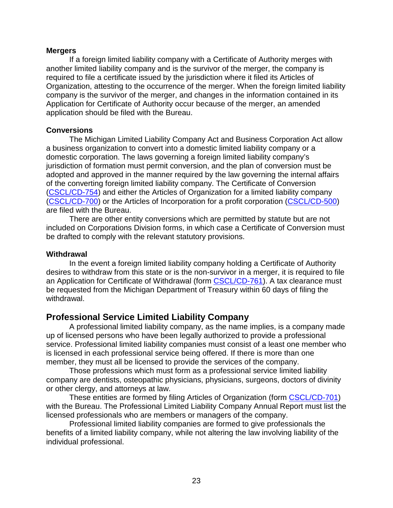#### **Mergers**

If a foreign limited liability company with a Certificate of Authority merges with another limited liability company and is the survivor of the merger, the company is required to file a certificate issued by the jurisdiction where it filed its Articles of Organization, attesting to the occurrence of the merger. When the foreign limited liability company is the survivor of the merger, and changes in the information contained in its Application for Certificate of Authority occur because of the merger, an amended application should be filed with the Bureau.

#### **Conversions**

The Michigan Limited Liability Company Act and Business Corporation Act allow a business organization to convert into a domestic limited liability company or a domestic corporation. The laws governing a foreign limited liability company's jurisdiction of formation must permit conversion, and the plan of conversion must be adopted and approved in the manner required by the law governing the internal affairs of the converting foreign limited liability company. The Certificate of Conversion [\(CSCL/CD-754\)](http://www.michigan.gov/documents/lara/754_08-15_528295_7.pdf) and either the Articles of Organization for a limited liability company [\(CSCL/CD-700\)](http://www.michigan.gov/documents/lara/700_08-15_528193_7.pdf) or the Articles of Incorporation for a profit corporation [\(CSCL/CD-500\)](http://www.michigan.gov/documents/lara/500_08-15_527667_7.pdf) are filed with the Bureau.

There are other entity conversions which are permitted by statute but are not included on Corporations Division forms, in which case a Certificate of Conversion must be drafted to comply with the relevant statutory provisions.

#### **Withdrawal**

In the event a foreign limited liability company holding a Certificate of Authority desires to withdraw from this state or is the non-survivor in a merger, it is required to file an Application for Certificate of Withdrawal (form [CSCL/CD-761\)](http://www.michigan.gov/documents/lara/761_10-15_528298_7.pdf). A tax clearance must be requested from the Michigan Department of Treasury within 60 days of filing the withdrawal.

## **Professional Service Limited Liability Company**

A professional limited liability company, as the name implies, is a company made up of licensed persons who have been legally authorized to provide a professional service. Professional limited liability companies must consist of a least one member who is licensed in each professional service being offered. If there is more than one member, they must all be licensed to provide the services of the company.

Those professions which must form as a professional service limited liability company are dentists, osteopathic physicians, physicians, surgeons, doctors of divinity or other clergy, and attorneys at law.

These entities are formed by filing Articles of Organization (form [CSCL/CD-701\)](http://www.michigan.gov/documents/lara/701_08-15_528194_7.pdf) with the Bureau. The Professional Limited Liability Company Annual Report must list the licensed professionals who are members or managers of the company.

Professional limited liability companies are formed to give professionals the benefits of a limited liability company, while not altering the law involving liability of the individual professional.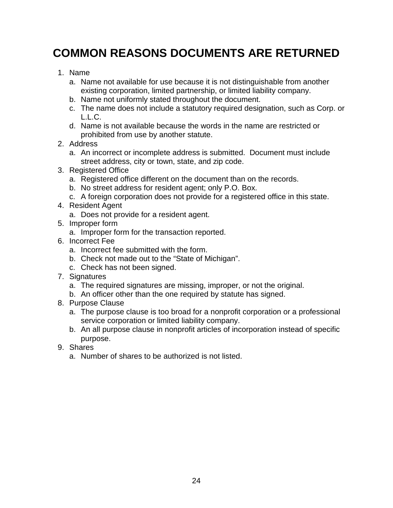# **COMMON REASONS DOCUMENTS ARE RETURNED**

- 1. Name
	- a. Name not available for use because it is not distinguishable from another existing corporation, limited partnership, or limited liability company.
	- b. Name not uniformly stated throughout the document.
	- c. The name does not include a statutory required designation, such as Corp. or L.L.C.
	- d. Name is not available because the words in the name are restricted or prohibited from use by another statute.
- 2. Address
	- a. An incorrect or incomplete address is submitted. Document must include street address, city or town, state, and zip code.
- 3. Registered Office
	- a. Registered office different on the document than on the records.
	- b. No street address for resident agent; only P.O. Box.
	- c. A foreign corporation does not provide for a registered office in this state.
- 4. Resident Agent
	- a. Does not provide for a resident agent.
- 5. Improper form
	- a. Improper form for the transaction reported.
- 6. Incorrect Fee
	- a. Incorrect fee submitted with the form.
	- b. Check not made out to the "State of Michigan".
	- c. Check has not been signed.
- 7. Signatures
	- a. The required signatures are missing, improper, or not the original.
	- b. An officer other than the one required by statute has signed.
- 8. Purpose Clause
	- a. The purpose clause is too broad for a nonprofit corporation or a professional service corporation or limited liability company.
	- b. An all purpose clause in nonprofit articles of incorporation instead of specific purpose.
- 9. Shares
	- a. Number of shares to be authorized is not listed.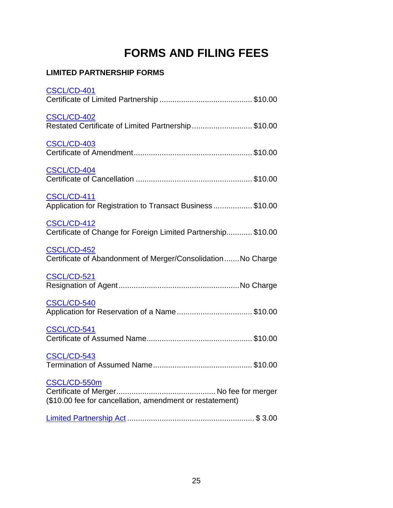# **FORMS AND FILING FEES**

# **LIMITED PARTNERSHIP FORMS**

| CSCL/CD-401                                                                         |
|-------------------------------------------------------------------------------------|
| <b>CSCL/CD-402</b><br>Restated Certificate of Limited Partnership\$10.00            |
| CSCL/CD-403                                                                         |
| CSCL/CD-404                                                                         |
| <b>CSCL/CD-411</b><br>Application for Registration to Transact Business\$10.00      |
| <b>CSCL/CD-412</b><br>Certificate of Change for Foreign Limited Partnership \$10.00 |
| <b>CSCL/CD-452</b><br>Certificate of Abandonment of Merger/Consolidation No Charge  |
| CSCL/CD-521                                                                         |
| CSCL/CD-540<br>Application for Reservation of a Name\$10.00                         |
| CSCL/CD-541                                                                         |
| <b>CSCL/CD-543</b>                                                                  |
| CSCL/CD-550m<br>(\$10.00 fee for cancellation, amendment or restatement)            |
|                                                                                     |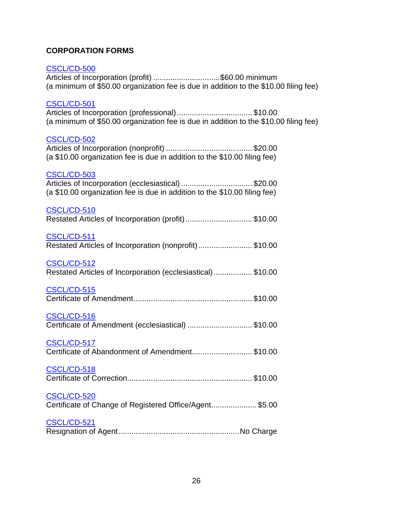### **CORPORATION FORMS**

#### [CSCL/CD-500](http://www.michigan.gov/documents/lara/500_08-15_527667_7.pdf)

Articles of Incorporation (profit) ................................\$60.00 minimum (a minimum of \$50.00 organization fee is due in addition to the \$10.00 filing fee)

#### [CSCL/CD-501](http://www.michigan.gov/documents/lara/501_08-15_527669_7.pdf)

Articles of Incorporation (professional)................................... \$10.00 (a minimum of \$50.00 organization fee is due in addition to the \$10.00 filing fee)

#### [CSCL/CD-502](http://www.michigan.gov/documents/lara/502_08-15_527692_7.pdf)

| (a \$10.00 organization fee is due in addition to the \$10.00 filing fee) |  |
|---------------------------------------------------------------------------|--|

#### [CSCL/CD-503](http://www.michigan.gov/documents/lara/503_08-15_527693_7.pdf)

| Articles of Incorporation (ecclesiastical) \$20.00                        |  |
|---------------------------------------------------------------------------|--|
| (a \$10.00 organization fee is due in addition to the \$10.00 filing fee) |  |

#### [CSCL/CD-510](http://www.michigan.gov/documents/lara/510_08-15_527694_7.pdf) Restated Articles of Incorporation (profit)............................... \$10.00

### [CSCL/CD-511](http://www.michigan.gov/documents/lara/511_10-15_527700_7.pdf)

|  |  |  | Restated Articles of Incorporation (nonprofit) \$10.00 |
|--|--|--|--------------------------------------------------------|
|--|--|--|--------------------------------------------------------|

#### [CSCL/CD-512](http://www.michigan.gov/documents/lara/512_08-15_527701_7.pdf)

| Restated Articles of Incorporation (ecclesiastical)\$10.00 |  |  |
|------------------------------------------------------------|--|--|
|------------------------------------------------------------|--|--|

#### [CSCL/CD-515](http://www.michigan.gov/documents/lara/515_08-15_527706_7.pdf)

## [CSCL/CD-516](http://www.michigan.gov/documents/lara/516_08-15_527708_7.pdf)

| Certificate of Amendment (ecclesiastical) \$10.00 |  |
|---------------------------------------------------|--|
|---------------------------------------------------|--|

#### [CSCL/CD-517](http://www.michigan.gov/documents/lara/517_08-15_527709_7.pdf)

Certificate of Abandonment of Amendment............................ \$10.00

#### [CSCL/CD-518](http://www.michigan.gov/documents/lara/518_08-15_527711_7.pdf)

#### [CSCL/CD-520](http://www.michigan.gov/documents/lara/520_08-15_527716_7.pdf)

|  | Certificate of Change of Registered Office/Agent \$5.00 |
|--|---------------------------------------------------------|
|--|---------------------------------------------------------|

#### [CSCL/CD-521](http://www.michigan.gov/documents/lara/521_08-15_527717_7.pdf)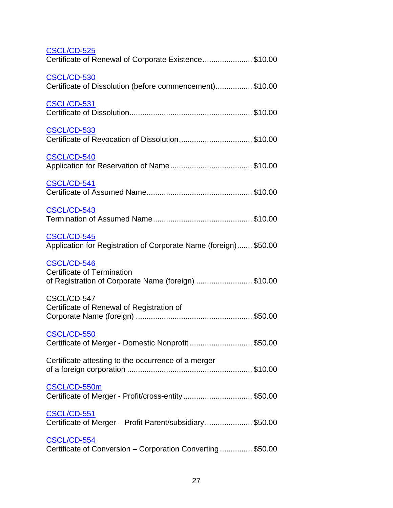| <b>CSCL/CD-525</b><br>Certificate of Renewal of Corporate Existence\$10.00                              |  |
|---------------------------------------------------------------------------------------------------------|--|
| CSCL/CD-530<br>Certificate of Dissolution (before commencement) \$10.00                                 |  |
| <b>CSCL/CD-531</b>                                                                                      |  |
| CSCL/CD-533<br>Certificate of Revocation of Dissolution\$10.00                                          |  |
| <b>CSCL/CD-540</b>                                                                                      |  |
| <b>CSCL/CD-541</b>                                                                                      |  |
| CSCL/CD-543                                                                                             |  |
| <b>CSCL/CD-545</b><br>Application for Registration of Corporate Name (foreign) \$50.00                  |  |
| CSCL/CD-546<br><b>Certificate of Termination</b><br>of Registration of Corporate Name (foreign) \$10.00 |  |
| CSCL/CD-547<br>Certificate of Renewal of Registration of                                                |  |
| <b>CSCL/CD-550</b><br>Certificate of Merger - Domestic Nonprofit \$50.00                                |  |
| Certificate attesting to the occurrence of a merger                                                     |  |
| CSCL/CD-550m<br>Certificate of Merger - Profit/cross-entity\$50.00                                      |  |
| CSCL/CD-551<br>Certificate of Merger - Profit Parent/subsidiary \$50.00                                 |  |
| <b>CSCL/CD-554</b><br>Certificate of Conversion - Corporation Converting \$50.00                        |  |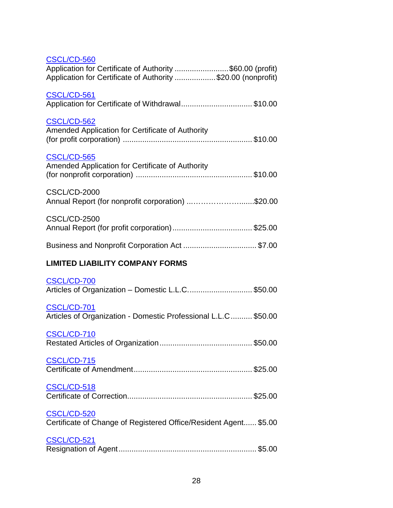| <b>CSCL/CD-560</b>                                                                                                        |  |
|---------------------------------------------------------------------------------------------------------------------------|--|
| Application for Certificate of Authority \$60.00 (profit)<br>Application for Certificate of Authority \$20.00 (nonprofit) |  |
| CSCL/CD-561<br>Application for Certificate of Withdrawal\$10.00                                                           |  |
| <b>CSCL/CD-562</b><br>Amended Application for Certificate of Authority                                                    |  |
| CSCL/CD-565<br>Amended Application for Certificate of Authority                                                           |  |
| <b>CSCL/CD-2000</b><br>Annual Report (for nonprofit corporation) \$20.00                                                  |  |
| <b>CSCL/CD-2500</b>                                                                                                       |  |
|                                                                                                                           |  |
| <b>LIMITED LIABILITY COMPANY FORMS</b>                                                                                    |  |
| <b>CSCL/CD-700</b><br>Articles of Organization - Domestic L.L.C \$50.00                                                   |  |
| CSCL/CD-701<br>Articles of Organization - Domestic Professional L.L.C  \$50.00                                            |  |
|                                                                                                                           |  |
|                                                                                                                           |  |
|                                                                                                                           |  |
|                                                                                                                           |  |

#### [CSCL/CD-520](http://www.michigan.gov/documents/lara/520_08-15_527716_7.pdf) Certificate of Change of Registered Office/Resident Agent...... \$5.00

| CSCL/CD-521 |  |
|-------------|--|
|             |  |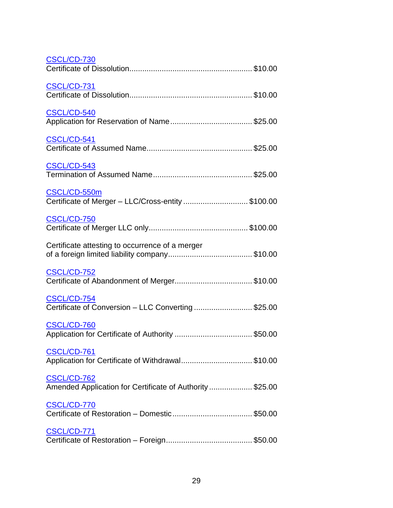| <b>CSCL/CD-730</b>                                                              |
|---------------------------------------------------------------------------------|
| CSCL/CD-731                                                                     |
| <b>CSCL/CD-540</b>                                                              |
| CSCL/CD-541                                                                     |
| CSCL/CD-543                                                                     |
| CSCL/CD-550m<br>Certificate of Merger - LLC/Cross-entity \$100.00               |
| CSCL/CD-750                                                                     |
| Certificate attesting to occurrence of a merger                                 |
| <b>CSCL/CD-752</b>                                                              |
| CSCL/CD-754<br>Certificate of Conversion - LLC Converting  \$25.00              |
| CSCL/CD-760                                                                     |
| CSCL/CD-761<br>Application for Certificate of Withdrawal\$10.00                 |
| <b>CSCL/CD-762</b><br>Amended Application for Certificate of Authority  \$25.00 |
| CSCL/CD-770                                                                     |
| CSCL/CD-771                                                                     |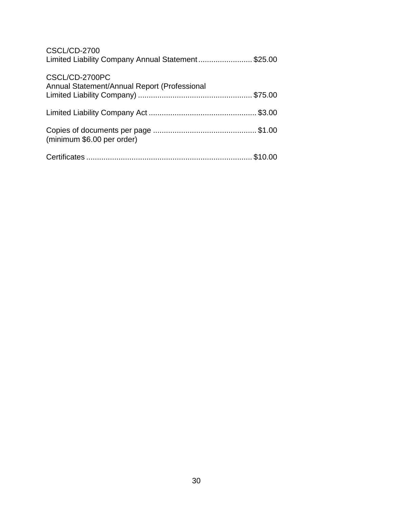| <b>CSCL/CD-2700</b><br>Limited Liability Company Annual Statement\$25.00 |  |
|--------------------------------------------------------------------------|--|
| CSCL/CD-2700PC<br>Annual Statement/Annual Report (Professional           |  |
|                                                                          |  |
| (minimum \$6.00 per order)                                               |  |
|                                                                          |  |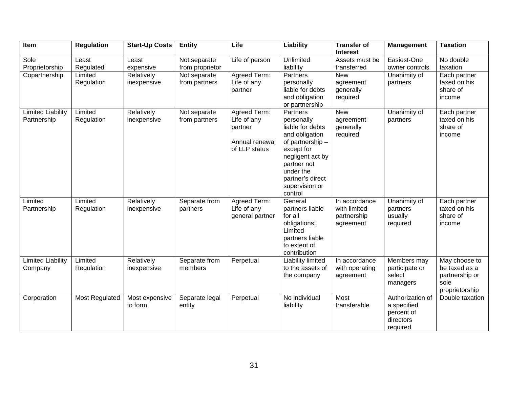| Item                                    | <b>Regulation</b>     | <b>Start-Up Costs</b>     | <b>Entity</b>                   | Life                                                                      | Liability                                                                                                                                                                                       | <b>Transfer of</b><br><b>Interest</b>                     | <b>Management</b>                                                      | <b>Taxation</b>                                                            |
|-----------------------------------------|-----------------------|---------------------------|---------------------------------|---------------------------------------------------------------------------|-------------------------------------------------------------------------------------------------------------------------------------------------------------------------------------------------|-----------------------------------------------------------|------------------------------------------------------------------------|----------------------------------------------------------------------------|
| Sole<br>Proprietorship                  | Least<br>Regulated    | Least<br>expensive        | Not separate<br>from proprietor | Life of person                                                            | Unlimited<br>liability                                                                                                                                                                          | Assets must be<br>transferred                             | Easiest-One<br>owner controls                                          | No double<br>taxation                                                      |
| Copartnership                           | Limited<br>Regulation | Relatively<br>inexpensive | Not separate<br>from partners   | Agreed Term:<br>Life of any<br>partner                                    | Partners<br>personally<br>liable for debts<br>and obligation<br>or partnership                                                                                                                  | <b>New</b><br>agreement<br>generally<br>required          | Unanimity of<br>partners                                               | Each partner<br>taxed on his<br>share of<br>income                         |
| <b>Limited Liability</b><br>Partnership | Limited<br>Regulation | Relatively<br>inexpensive | Not separate<br>from partners   | Agreed Term:<br>Life of any<br>partner<br>Annual renewal<br>of LLP status | Partners<br>personally<br>liable for debts<br>and obligation<br>of partnership -<br>except for<br>negligent act by<br>partner not<br>under the<br>partner's direct<br>supervision or<br>control | <b>New</b><br>agreement<br>generally<br>required          | Unanimity of<br>partners                                               | Each partner<br>taxed on his<br>share of<br>income                         |
| Limited<br>Partnership                  | Limited<br>Regulation | Relatively<br>inexpensive | Separate from<br>partners       | Agreed Term:<br>Life of any<br>general partner                            | General<br>partners liable<br>for all<br>obligations;<br>Limited<br>partners liable<br>to extent of<br>contribution                                                                             | In accordance<br>with limited<br>partnership<br>agreement | Unanimity of<br>partners<br>usually<br>required                        | Each partner<br>taxed on his<br>share of<br>income                         |
| <b>Limited Liability</b><br>Company     | Limited<br>Regulation | Relatively<br>inexpensive | Separate from<br>members        | Perpetual                                                                 | Liability limited<br>to the assets of<br>the company                                                                                                                                            | In accordance<br>with operating<br>agreement              | Members may<br>participate or<br>select<br>managers                    | May choose to<br>be taxed as a<br>partnership or<br>sole<br>proprietorship |
| Corporation                             | Most Regulated        | Most expensive<br>to form | Separate legal<br>entity        | Perpetual                                                                 | No individual<br>liability                                                                                                                                                                      | Most<br>transferable                                      | Authorization of<br>a specified<br>percent of<br>directors<br>required | Double taxation                                                            |